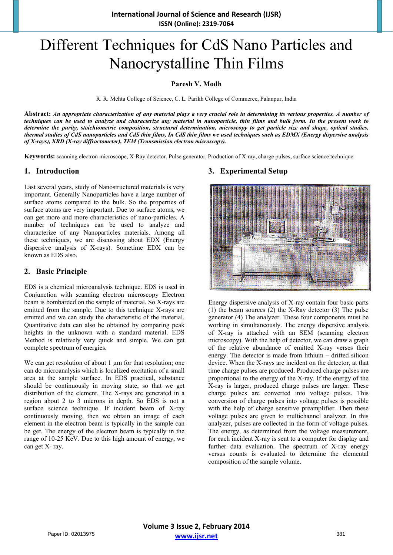# Different Techniques for CdS Nano Particles and Nanocrystalline Thin Films

**Paresh V. Modh** 

R. R. Mehta College of Science, C. L. Parikh College of Commerce, Palanpur, India

**Abstract:** *An appropriate characterization of any material plays a very crucial role in determining its various properties. A number of techniques can be used to analyze and characterize any material in nanoparticle, thin films and bulk form. In the present work to determine the purity, stoichiometric composition, structural determination, microscopy to get particle size and shape, optical studies, thermal studies of CdS nanoparticles and CdS thin films, In CdS thin films we used techniques such as EDMX (Energy dispersive analysis of X-rays), XRD (X-ray diffractometer), TEM (Transmission electron microscopy).* 

**Keywords:** scanning electron microscope, X-Ray detector, Pulse generator, Production of X-ray, charge pulses, surface science technique

#### **1. Introduction**

Last several years, study of Nanostructured materials is very important. Generally Nanoparticles have a large number of surface atoms compared to the bulk. So the properties of surface atoms are very important. Due to surface atoms, we can get more and more characteristics of nano-particles. A number of techniques can be used to analyze and characterize of any Nanoparticles materials. Among all these techniques, we are discussing about EDX (Energy dispersive analysis of X-rays). Sometime EDX can be known as EDS also.

#### **2. Basic Principle**

EDS is a chemical microanalysis technique. EDS is used in Conjunction with scanning electron microscopy Electron beam is bombarded on the sample of material. So X-rays are emitted from the sample. Due to this technique X-rays are emitted and we can study the characteristic of the material. Quantitative data can also be obtained by comparing peak heights in the unknown with a standard material. EDS Method is relatively very quick and simple. We can get complete spectrum of energies.

We can get resolution of about 1  $\mu$ m for that resolution; one can do microanalysis which is localized excitation of a small area at the sample surface. In EDS practical, substance should be continuously in moving state, so that we get distribution of the element. The X-rays are generated in a region about 2 to 3 microns in depth. So EDS is not a surface science technique. If incident beam of X-ray continuously moving, then we obtain an image of each element in the electron beam is typically in the sample can be get. The energy of the electron beam is typically in the range of 10-25 KeV. Due to this high amount of energy, we can get X- ray.

# **3. Experimental Setup**



Energy dispersive analysis of X-ray contain four basic parts (1) the beam sources (2) the X-Ray detector (3) The pulse generator (4) The analyzer. These four components must be working in simultaneously. The energy dispersive analysis of X-ray is attached with an SEM (scanning electron microscopy). With the help of detector, we can draw a graph of the relative abundance of emitted X-ray verses their energy. The detector is made from lithium – drifted silicon device. When the X-rays are incident on the detector, at that time charge pulses are produced. Produced charge pulses are proportional to the energy of the X-ray. If the energy of the X-ray is larger, produced charge pulses are larger. These charge pulses are converted into voltage pulses. This conversion of charge pulses into voltage pulses is possible with the help of charge sensitive preamplifier. Then these voltage pulses are given to multichannel analyzer. In this analyzer, pulses are collected in the form of voltage pulses. The energy, as determined from the voltage measurement, for each incident X-ray is sent to a computer for display and further data evaluation. The spectrum of X-ray energy versus counts is evaluated to determine the elemental composition of the sample volume.